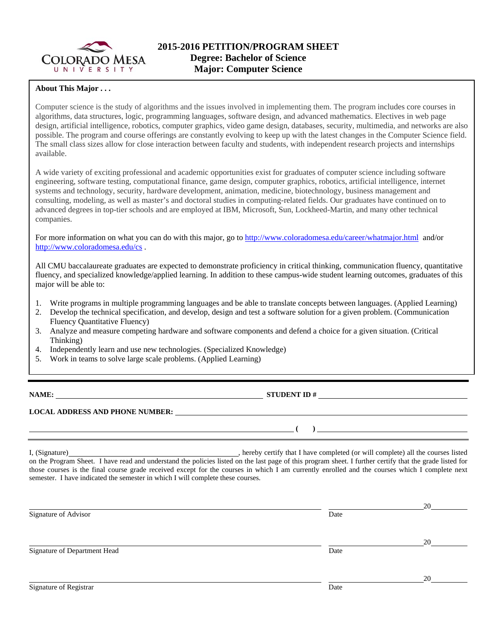

## **About This Major . . .**

Computer science is the study of algorithms and the issues involved in implementing them. The program includes core courses in algorithms, data structures, logic, programming languages, software design, and advanced mathematics. Electives in web page design, artificial intelligence, robotics, computer graphics, video game design, databases, security, multimedia, and networks are also possible. The program and course offerings are constantly evolving to keep up with the latest changes in the Computer Science field. The small class sizes allow for close interaction between faculty and students, with independent research projects and internships available.

A wide variety of exciting professional and academic opportunities exist for graduates of computer science including software engineering, software testing, computational finance, game design, computer graphics, robotics, artificial intelligence, internet systems and technology, security, hardware development, animation, medicine, biotechnology, business management and consulting, modeling, as well as master's and doctoral studies in computing-related fields. Our graduates have continued on to advanced degrees in top-tier schools and are employed at IBM, Microsoft, Sun, Lockheed-Martin, and many other technical companies.

For more information on what you can do with this major, go to http://www.coloradomesa.edu/career/whatmajor.html and/or http://www.coloradomesa.edu/cs .

All CMU baccalaureate graduates are expected to demonstrate proficiency in critical thinking, communication fluency, quantitative fluency, and specialized knowledge/applied learning. In addition to these campus-wide student learning outcomes, graduates of this major will be able to:

- 1. Write programs in multiple programming languages and be able to translate concepts between languages. (Applied Learning)
- 2. Develop the technical specification, and develop, design and test a software solution for a given problem. (Communication Fluency Quantitative Fluency)
- 3. Analyze and measure competing hardware and software components and defend a choice for a given situation. (Critical Thinking)
- 4. Independently learn and use new technologies. (Specialized Knowledge)
- 5. Work in teams to solve large scale problems. (Applied Learning)

**NAME: STUDENT ID #** 

 $($   $)$ 

# **LOCAL ADDRESS AND PHONE NUMBER:**

I, (Signature) **Source 2008** (Signature) **, hereby certify that I have completed** (or will complete) all the courses listed on the Program Sheet. I have read and understand the policies listed on the last page of this program sheet. I further certify that the grade listed for those courses is the final course grade received except for the courses in which I am currently enrolled and the courses which I complete next semester. I have indicated the semester in which I will complete these courses.

|                              |      | 20 |
|------------------------------|------|----|
| Signature of Advisor         | Date |    |
|                              |      | 20 |
| Signature of Department Head | Date |    |
|                              |      | 20 |
| Signature of Registrar       | Date |    |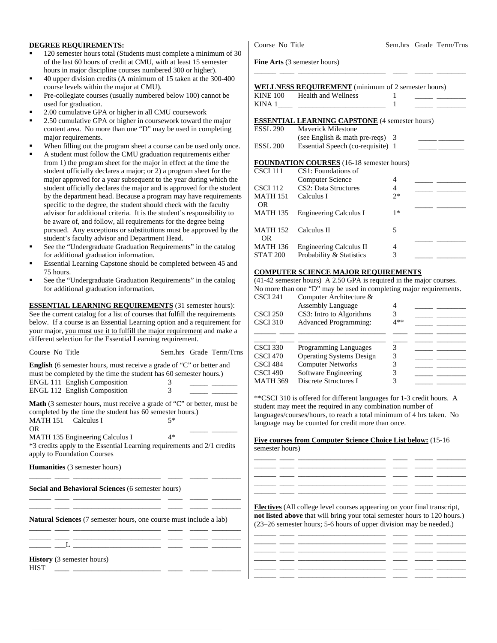#### **DEGREE REQUIREMENTS:**

- 120 semester hours total (Students must complete a minimum of 30 of the last 60 hours of credit at CMU, with at least 15 semester hours in major discipline courses numbered 300 or higher).
- 40 upper division credits (A minimum of 15 taken at the 300-400 course levels within the major at CMU).
- Pre-collegiate courses (usually numbered below 100) cannot be used for graduation.
- 2.00 cumulative GPA or higher in all CMU coursework
- 2.50 cumulative GPA or higher in coursework toward the major content area. No more than one "D" may be used in completing major requirements.
- When filling out the program sheet a course can be used only once.
- A student must follow the CMU graduation requirements either from 1) the program sheet for the major in effect at the time the student officially declares a major; or 2) a program sheet for the major approved for a year subsequent to the year during which the student officially declares the major and is approved for the student by the department head. Because a program may have requirements specific to the degree, the student should check with the faculty advisor for additional criteria. It is the student's responsibility to be aware of, and follow, all requirements for the degree being pursued. Any exceptions or substitutions must be approved by the student's faculty advisor and Department Head.
- See the "Undergraduate Graduation Requirements" in the catalog for additional graduation information.
- Essential Learning Capstone should be completed between 45 and 75 hours.
- See the "Undergraduate Graduation Requirements" in the catalog for additional graduation information.

**ESSENTIAL LEARNING REQUIREMENTS** (31 semester hours): See the current catalog for a list of courses that fulfill the requirements below. If a course is an Essential Learning option and a requirement for your major, you must use it to fulfill the major requirement and make a different selection for the Essential Learning requirement.

| Course No Title                                                                                                                                                                                                                |            | Sem.hrs Grade Term/Trns |
|--------------------------------------------------------------------------------------------------------------------------------------------------------------------------------------------------------------------------------|------------|-------------------------|
| <b>English</b> (6 semester hours, must receive a grade of "C" or better and<br>must be completed by the time the student has 60 semester hours.)<br><b>ENGL 111 English Composition</b><br><b>ENGL 112 English Composition</b> | 3<br>3     |                         |
| <b>Math</b> (3 semester hours, must receive a grade of " $C$ " or better, must be<br>completed by the time the student has 60 semester hours.)<br>MATH 151 Calculus I<br>OR.<br>MATH 135 Engineering Calculus I                | 5*<br>$4*$ |                         |
| *3 credits apply to the Essential Learning requirements and 2/1 credits<br>apply to Foundation Courses                                                                                                                         |            |                         |
| <b>Humanities</b> (3 semester hours)                                                                                                                                                                                           |            |                         |
| Social and Behavioral Sciences (6 semester hours)                                                                                                                                                                              |            |                         |
| <b>Natural Sciences</b> (7 semester hours, one course must include a lab)                                                                                                                                                      |            |                         |

\_\_\_\_\_\_ \_\_\_L \_\_\_\_\_\_\_\_\_\_\_\_\_\_\_\_\_\_\_\_\_\_\_\_ \_\_\_\_ \_\_\_\_\_ \_\_\_\_\_\_\_\_

**History** (3 semester hours)

 $HIST \quad \_\_\_\_\_\_\_$ 

Course No Title Sem.hrs Grade Term/Trns

**Fine Arts** (3 semester hours)

| <b>WELLNESS REQUIREMENT</b> (minimum of 2 semester hours) |  |
|-----------------------------------------------------------|--|
|-----------------------------------------------------------|--|

| <b>KINE 100</b> | Health and Wellness |  |  |
|-----------------|---------------------|--|--|
| KINA            |                     |  |  |

\_\_\_\_\_\_ \_\_\_\_ \_\_\_\_\_\_\_\_\_\_\_\_\_\_\_\_\_\_\_\_\_\_\_\_ \_\_\_\_ \_\_\_\_\_ \_\_\_\_\_\_\_\_

## **ESSENTIAL LEARNING CAPSTONE** (4 semester hours)

| <b>ESSL 290</b>        | <b>Maverick Milestone</b>                        |      |  |
|------------------------|--------------------------------------------------|------|--|
|                        | (see English $\&$ math pre-reqs) 3               |      |  |
| <b>ESSL 200</b>        | Essential Speech (co-requisite) 1                |      |  |
|                        | <b>FOUNDATION COURSES</b> (16-18 semester hours) |      |  |
| <b>CSCI 111</b>        | CS1: Foundations of                              |      |  |
|                        | Computer Science                                 | 4    |  |
| <b>CSCI 112</b>        | CS <sub>2</sub> : Data Structures                | 4    |  |
| <b>MATH 151</b><br>OR. | Calculus I                                       | $2*$ |  |
| <b>MATH 135</b>        | Engineering Calculus I                           | $1*$ |  |
| <b>MATH 152</b><br>OR. | Calculus II                                      | 5    |  |
| <b>MATH 136</b>        | Engineering Calculus II                          | 4    |  |
| <b>STAT 200</b>        | Probability & Statistics                         | 3    |  |

#### **COMPUTER SCIENCE MAJOR REQUIREMENTS**

(41-42 semester hours) A 2.50 GPA is required in the major courses. No more than one "D" may be used in completing major requirements.

| CSCI 241            | Computer Architecture &         |       |  |
|---------------------|---------------------------------|-------|--|
|                     | <b>Assembly Language</b>        |       |  |
| <b>CSCI 250</b>     | CS3: Intro to Algorithms        |       |  |
| <b>CSCI 310</b>     | <b>Advanced Programming:</b>    | $4**$ |  |
|                     |                                 |       |  |
| <b>CSCI 330</b>     | <b>Programming Languages</b>    | 3     |  |
| <b>CSCI 470</b>     | <b>Operating Systems Design</b> |       |  |
| CSCI 484            | <b>Computer Networks</b>        |       |  |
| CSCI <sub>490</sub> | Software Engineering            |       |  |
| <b>MATH 369</b>     | Discrete Structures I           |       |  |
|                     |                                 |       |  |

\*\*CSCI 310 is offered for different languages for 1-3 credit hours. A student may meet the required in any combination number of languages/courses/hours, to reach a total minimum of 4 hrs taken. No language may be counted for credit more than once.

**Five courses from Computer Science Choice List below:** (15-16 semester hours)

**Electives** (All college level courses appearing on your final transcript, **not listed above** that will bring your total semester hours to 120 hours.) (23–26 semester hours; 5-6 hours of upper division may be needed.) \_\_\_\_\_\_ \_\_\_\_ \_\_\_\_\_\_\_\_\_\_\_\_\_\_\_\_\_\_\_\_\_\_\_\_ \_\_\_\_ \_\_\_\_\_ \_\_\_\_\_\_\_\_

\_\_\_\_\_\_ \_\_\_\_ \_\_\_\_\_\_\_\_\_\_\_\_\_\_\_\_\_\_\_\_\_\_\_\_ \_\_\_\_ \_\_\_\_\_ \_\_\_\_\_\_\_\_ \_\_\_\_\_\_ \_\_\_\_ \_\_\_\_\_\_\_\_\_\_\_\_\_\_\_\_\_\_\_\_\_\_\_\_ \_\_\_\_ \_\_\_\_\_ \_\_\_\_\_\_\_\_ \_\_\_\_\_\_ \_\_\_\_ \_\_\_\_\_\_\_\_\_\_\_\_\_\_\_\_\_\_\_\_\_\_\_\_ \_\_\_\_ \_\_\_\_\_ \_\_\_\_\_\_\_\_ \_\_\_\_\_\_ \_\_\_\_ \_\_\_\_\_\_\_\_\_\_\_\_\_\_\_\_\_\_\_\_\_\_\_\_ \_\_\_\_ \_\_\_\_\_ \_\_\_\_\_\_\_\_ \_\_\_\_\_\_ \_\_\_\_ \_\_\_\_\_\_\_\_\_\_\_\_\_\_\_\_\_\_\_\_\_\_\_\_ \_\_\_\_ \_\_\_\_\_ \_\_\_\_\_\_\_\_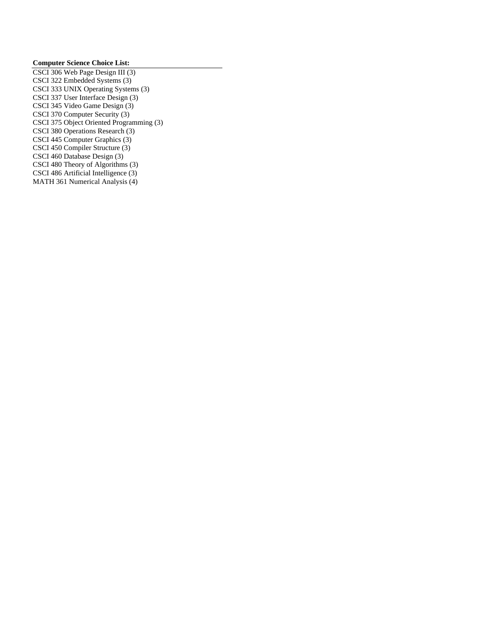#### **Computer Science Choice List:**

CSCI 306 Web Page Design III (3) CSCI 322 Embedded Systems (3) CSCI 333 UNIX Operating Systems (3) CSCI 337 User Interface Design (3) CSCI 345 Video Game Design (3) CSCI 370 Computer Security (3) CSCI 375 Object Oriented Programming (3) CSCI 380 Operations Research (3) CSCI 445 Computer Graphics (3) CSCI 450 Compiler Structure (3) CSCI 460 Database Design (3) CSCI 480 Theory of Algorithms (3) CSCI 486 Artificial Intelligence (3) MATH 361 Numerical Analysis (4)